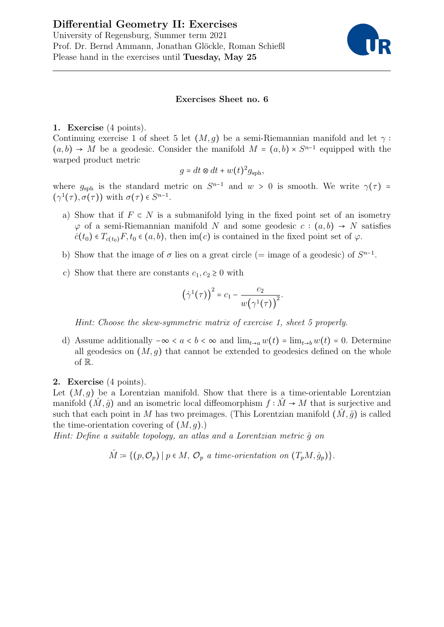# Differential Geometry II: Exercises



# Exercises Sheet no. 6

# 1. Exercise (4 points).

Continuing exercise 1 of sheet 5 let  $(M, q)$  be a semi-Riemannian manifold and let  $\gamma$ :  $(a, b) \rightarrow M$  be a geodesic. Consider the manifold  $M = (a, b) \times S^{n-1}$  equipped with the warped product metric

$$
g = dt \otimes dt + w(t)^2 g_{\rm sph},
$$

where  $g_{\text{sph}}$  is the standard metric on  $S^{n-1}$  and  $w > 0$  is smooth. We write  $\gamma(\tau) = (1/\tau)$  $(\gamma^1(\tau), \sigma(\tau))$  with  $\sigma(\tau) \in S^{n-1}$ .

- a) Show that if  $F \subset N$  is a submanifold lying in the fixed point set of an isometry  $\varphi$  of a semi-Riemannian manifold N and some geodesic  $c : (a, b) \to N$  satisfies  $\dot{c}(t_0) \in T_{c(t_0)}F$ ,  $t_0 \in (a, b)$ , then im(c) is contained in the fixed point set of  $\varphi$ .
- b) Show that the image of  $\sigma$  lies on a great circle (= image of a geodesic) of  $S^{n-1}$ .
- c) Show that there are constants  $c_1, c_2 \geq 0$  with

$$
(\dot{\gamma}^1(\tau))^2 = c_1 - \frac{c_2}{w(\gamma^1(\tau))^2}.
$$

Hint: Choose the skew-symmetric matrix of exercise 1, sheet 5 properly.

d) Assume additionally  $-\infty < a < b < \infty$  and  $\lim_{t\to a} w(t) = \lim_{t\to b} w(t) = 0$ . Determine all geodesics on  $(M, g)$  that cannot be extended to geodesics defined on the whole of R.

## 2. Exercise (4 points).

Let  $(M, q)$  be a Lorentzian manifold. Show that there is a time-orientable Lorentzian manifold  $(M, \hat{g})$  and an isometric local diffeomorphism  $f : \tilde{M} \to M$  that is surjective and such that each point in M has two preimages. (This Lorentzian manifold  $(M, \hat{g})$  is called the time-orientation covering of  $(M, q)$ .)

Hint: Define a suitable topology, an atlas and a Lorentzian metric  $\hat{q}$  on

 $\hat{M} \coloneqq \{ (p, \mathcal{O}_p) \mid p \in M, \mathcal{O}_p \text{ a time-orientation on } (T_pM, \hat{g}_p) \}.$